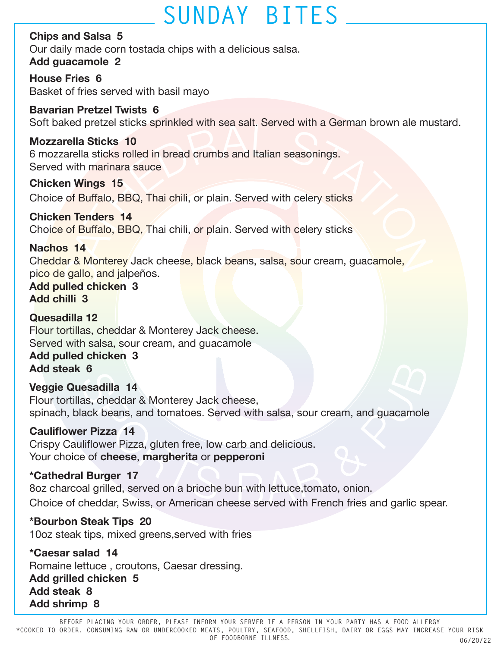# **SUNDAY BITES**

**Chips and Salsa 5** Our daily made corn tostada chips with a delicious salsa. **Add guacamole 2**

**House Fries 6** Basket of fries served with basil mayo

**Bavarian Pretzel Twists 6** Soft baked pretzel sticks sprinkled with sea salt. Served with a German brown ale mustard.

**Mozzarella Sticks 10** 6 mozzarella sticks rolled in bread crumbs and Italian seasonings. Served with marinara sauce

**Chicken Wings 15**  Choice of Buffalo, BBQ, Thai chili, or plain. Served with celery sticks

**Chicken Tenders 14** Choice of Buffalo, BBQ, Thai chili, or plain. Served with celery sticks

### **Nachos 14**

Trella Sticks 10<br>
Irella Sticks 10<br>
Irella Sticks colled in bread crumbs and Italian seasonings.<br>
With marinara sauce<br>
In Wings 15<br>
of Buffalo, BBQ, Thai chili, or plain. Served with celery sticks<br> **n Tenders 14**<br>
of Buffa Cheddar & Monterey Jack cheese, black beans, salsa, sour cream, guacamole, pico de gallo, and jalpeños.

**Add pulled chicken 3 Add chilli 3**

**Quesadilla 12** Flour tortillas, cheddar & Monterey Jack cheese. Served with salsa, sour cream, and guacamole

#### **Add pulled chicken 3 Add steak 6**

### **Veggie Quesadilla 14**

Flour tortillas, cheddar & Monterey Jack cheese, spinach, black beans, and tomatoes. Served with salsa, sour cream, and guacamole

### **Cauliflower Pizza 14**

Crispy Cauliflower Pizza, gluten free, low carb and delicious. Your choice of **cheese**, **margherita** or **pepperoni**

### **\*Cathedral Burger 17**

8oz charcoal grilled, served on a brioche bun with lettuce,tomato, onion. Choice of cheddar, Swiss, or American cheese served with French fries and garlic spear.

### **\*Bourbon Steak Tips 20**

10oz steak tips, mixed greens,served with fries

**\*Caesar salad 14** Romaine lettuce , croutons, Caesar dressing. **Add grilled chicken 5 Add steak 8 Add shrimp 8**